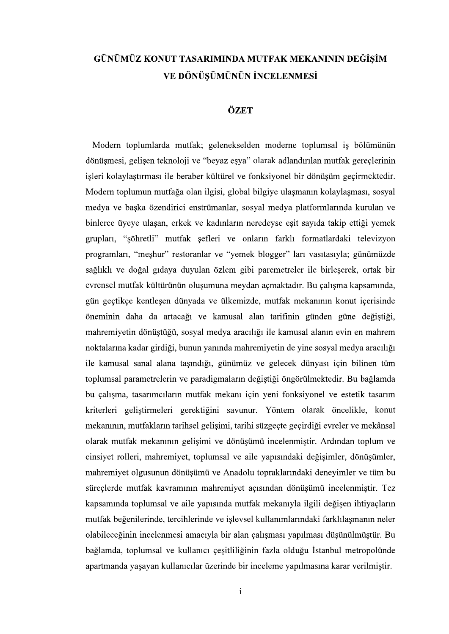## GÜNÜMÜZ KONUT TASARIMINDA MUTFAK MEKANININ DEĞİŞİM VE DÖNÜSÜMÜNÜN İNCELENMESİ

## ÖZET

Modern toplumlarda mutfak; gelenekselden moderne toplumsal is bölümünün dönüşmesi, gelişen teknoloji ve "beyaz eşya" olarak adlandırılan mutfak gereçlerinin işleri kolaylaştırması ile beraber kültürel ve fonksiyonel bir dönüşüm geçirmektedir. Modern toplumun mutfağa olan ilgisi, global bilgiye ulaşmanın kolaylaşması, sosyal medya ve başka özendirici enstrümanlar, sosyal medya platformlarında kurulan ve binlerce üyeye ulaşan, erkek ve kadınların neredeyse eşit sayıda takip ettiği yemek grupları, "söhretli" mutfak şefleri ve onların farklı formatlardaki televizyon programları, "meşhur" restoranlar ve "yemek blogger" ları vasıtasıyla; günümüzde sağlıklı ve doğal gıdaya duyulan özlem gibi paremetreler ile birleserek, ortak bir evrensel mutfak kültürünün oluşumuna meydan açmaktadır. Bu çalışma kapsamında, gün geçtikçe kentlesen dünyada ve ülkemizde, mutfak mekanının konut içerisinde öneminin daha da artacağı ve kamusal alan tarifinin günden güne değiştiği, mahremiyetin dönüştüğü, sosyal medya aracılığı ile kamusal alanın evin en mahrem noktalarına kadar girdiği, bunun yanında mahremiyetin de yine sosyal medya aracılığı ile kamusal sanal alana taşındığı, günümüz ve gelecek dünyası için bilinen tüm toplumsal parametrelerin ve paradigmaların değiştiği öngörülmektedir. Bu bağlamda bu çalışma, tasarımcıların mutfak mekanı için yeni fonksiyonel ve estetik tasarım kriterleri geliştirmeleri gerektiğini savunur. Yöntem olarak öncelikle, konut mekanının, mutfakların tarihsel gelişimi, tarihi süzgeçte geçirdiği evreler ve mekânsal olarak mutfak mekanının gelişimi ve dönüşümü incelenmiştir. Ardından toplum ve cinsiyet rolleri, mahremiyet, toplumsal ve aile yapısındaki değişimler, dönüşümler, mahremiyet olgusunun dönüşümü ve Anadolu topraklarındaki deneyimler ve tüm bu süreçlerde mutfak kavramının mahremiyet açısından dönüşümü incelenmiştir. Tez kapsamında toplumsal ve aile yapısında mutfak mekanıyla ilgili değişen ihtiyaçların mutfak beğenilerinde, tercihlerinde ve işlevsel kullanımlarındaki farklılaşmanın neler olabileceğinin incelenmesi amacıyla bir alan çalışması yapılması düşünülmüştür. Bu bağlamda, toplumsal ve kullanıcı çesitliliğinin fazla olduğu İstanbul metropolünde apartmanda yaşayan kullanıcılar üzerinde bir inceleme yapılmasına karar verilmiştir.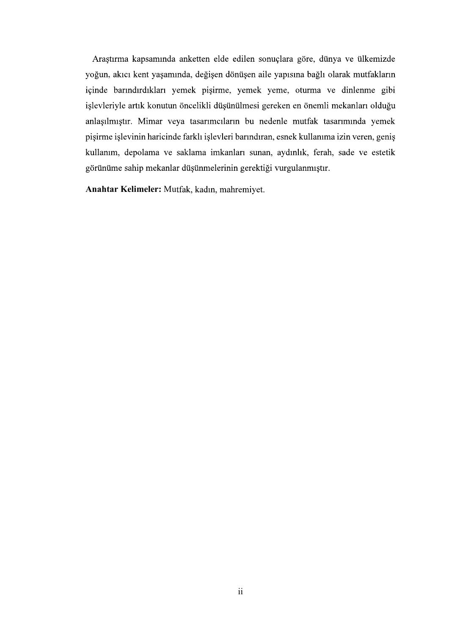Araştırma kapsamında anketten elde edilen sonuçlara göre, dünya ve ülkemizde yoğun, akıcı kent yaşamında, değişen dönüşen aile yapısına bağlı olarak mutfakların içinde barındırdıkları yemek pişirme, yemek yeme, oturma ve dinlenme gibi işlevleriyle artık konutun öncelikli düşünülmesi gereken en önemli mekanları olduğu anlaşılmıştır. Mimar veya tasarımcıların bu nedenle mutfak tasarımında yemek pişirme işlevinin haricinde farklı işlevleri barındıran, esnek kullanıma izin veren, geniş kullanım, depolama ve saklama imkanları sunan, aydınlık, ferah, sade ve estetik görünüme sahip mekanlar düşünmelerinin gerektiği vurgulanmıştır.

Anahtar Kelimeler: Mutfak, kadın, mahremiyet.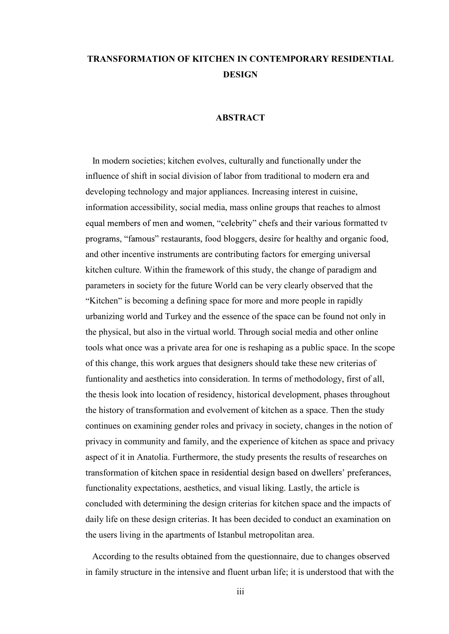## TRANSFORMATION OF KITCHEN IN CONTEMPORARY RESIDENTIAL **DESIGN**

## ABSTRACT

 In modern societies; kitchen evolves, culturally and functionally under the influence of shift in social division of labor from traditional to modern era and developing technology and major appliances. Increasing interest in cuisine, information accessibility, social media, mass online groups that reaches to almost equal members of men and women, "celebrity" chefs and their various formatted tv programs, "famous" restaurants, food bloggers, desire for healthy and organic food, and other incentive instruments are contributing factors for emerging universal kitchen culture. Within the framework of this study, the change of paradigm and parameters in society for the future World can be very clearly observed that the "Kitchen" is becoming a defining space for more and more people in rapidly urbanizing world and Turkey and the essence of the space can be found not only in the physical, but also in the virtual world. Through social media and other online tools what once was a private area for one is reshaping as a public space. In the scope of this change, this work argues that designers should take these new criterias of funtionality and aesthetics into consideration. In terms of methodology, first of all, the thesis look into location of residency, historical development, phases throughout the history of transformation and evolvement of kitchen as a space. Then the study continues on examining gender roles and privacy in society, changes in the notion of privacy in community and family, and the experience of kitchen as space and privacy aspect of it in Anatolia. Furthermore, the study presents the results of researches on transformation of kitchen space in residential design based on dwellers' preferances, functionality expectations, aesthetics, and visual liking. Lastly, the article is concluded with determining the design criterias for kitchen space and the impacts of daily life on these design criterias. It has been decided to conduct an examination on the users living in the apartments of Istanbul metropolitan area.

 According to the results obtained from the questionnaire, due to changes observed in family structure in the intensive and fluent urban life; it is understood that with the

iii